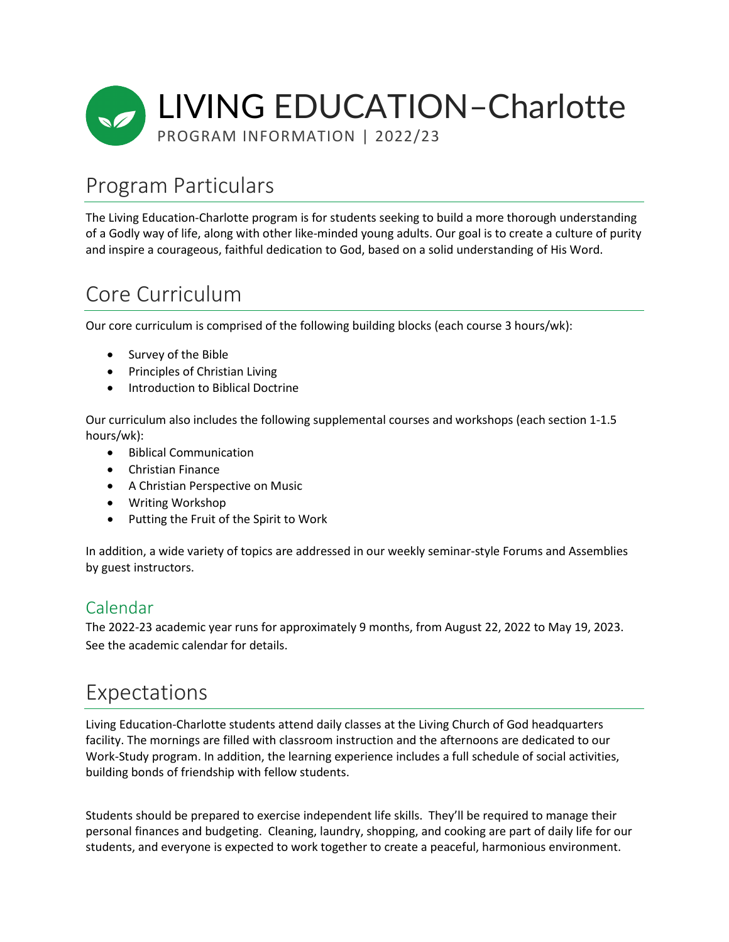

# Program Particulars

The Living Education-Charlotte program is for students seeking to build a more thorough understanding of a Godly way of life, along with other like-minded young adults. Our goal is to create a culture of purity and inspire a courageous, faithful dedication to God, based on a solid understanding of His Word.

# Core Curriculum

Our core curriculum is comprised of the following building blocks (each course 3 hours/wk):

- Survey of the Bible
- Principles of Christian Living
- Introduction to Biblical Doctrine

Our curriculum also includes the following supplemental courses and workshops (each section 1-1.5 hours/wk):

- Biblical Communication
- Christian Finance
- A Christian Perspective on Music
- Writing Workshop
- Putting the Fruit of the Spirit to Work

In addition, a wide variety of topics are addressed in our weekly seminar-style Forums and Assemblies by guest instructors.

### Calendar

The 2022-23 academic year runs for approximately 9 months, from August 22, 2022 to May 19, 2023. See the academic calendar for details.

### Expectations

Living Education-Charlotte students attend daily classes at the Living Church of God headquarters facility. The mornings are filled with classroom instruction and the afternoons are dedicated to our Work-Study program. In addition, the learning experience includes a full schedule of social activities, building bonds of friendship with fellow students.

Students should be prepared to exercise independent life skills. They'll be required to manage their personal finances and budgeting. Cleaning, laundry, shopping, and cooking are part of daily life for our students, and everyone is expected to work together to create a peaceful, harmonious environment.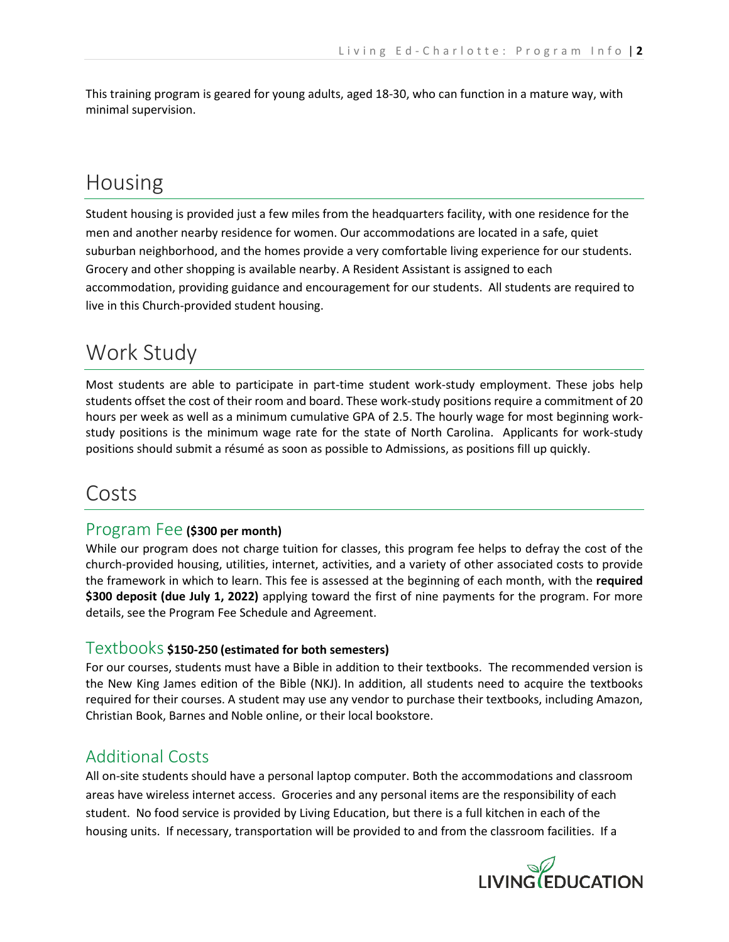This training program is geared for young adults, aged 18-30, who can function in a mature way, with minimal supervision.

## Housing

Student housing is provided just a few miles from the headquarters facility, with one residence for the men and another nearby residence for women. Our accommodations are located in a safe, quiet suburban neighborhood, and the homes provide a very comfortable living experience for our students. Grocery and other shopping is available nearby. A Resident Assistant is assigned to each accommodation, providing guidance and encouragement for our students. All students are required to live in this Church-provided student housing.

## Work Study

Most students are able to participate in part-time student work-study employment. These jobs help students offset the cost of their room and board. These work-study positions require a commitment of 20 hours per week as well as a minimum cumulative GPA of 2.5. The hourly wage for most beginning workstudy positions is the minimum wage rate for the state of North Carolina. Applicants for work-study positions should submit a résumé as soon as possible to Admissions, as positions fill up quickly.

### Costs

### Program Fee **(\$300 per month)**

While our program does not charge tuition for classes, this program fee helps to defray the cost of the church-provided housing, utilities, internet, activities, and a variety of other associated costs to provide the framework in which to learn. This fee is assessed at the beginning of each month, with the **required \$300 deposit (due July 1, 2022)** applying toward the first of nine payments for the program. For more details, see the Program Fee Schedule and Agreement.

### Textbooks **\$150-250 (estimated for both semesters)**

For our courses, students must have a Bible in addition to their textbooks. The recommended version is the New King James edition of the Bible (NKJ). In addition, all students need to acquire the textbooks required for their courses. A student may use any vendor to purchase their textbooks, including Amazon, Christian Book, Barnes and Noble online, or their local bookstore.

### Additional Costs

All on-site students should have a personal laptop computer. Both the accommodations and classroom areas have wireless internet access. Groceries and any personal items are the responsibility of each student. No food service is provided by Living Education, but there is a full kitchen in each of the housing units. If necessary, transportation will be provided to and from the classroom facilities. If a

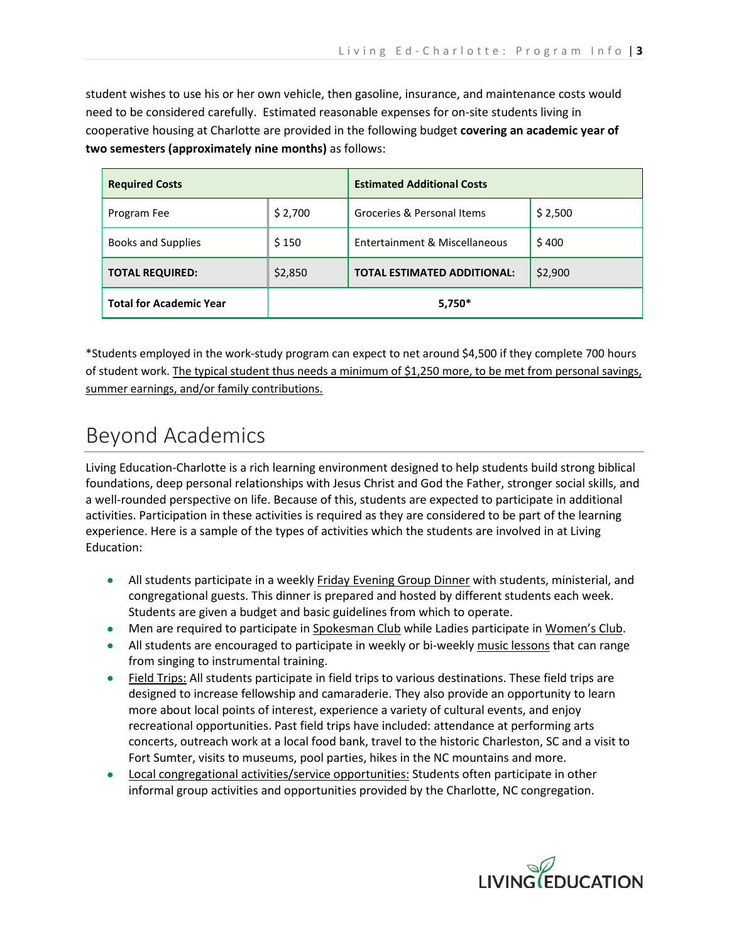student wishes to use his or her own vehicle, then gasoline, insurance, and maintenance costs would need to be considered carefully. Estimated reasonable expenses for on-site students living in cooperative housing at Charlotte are provided in the following budget **covering an academic year of two semesters (approximately nine months)** as follows:

| <b>Required Costs</b>          |         | <b>Estimated Additional Costs</b>  |         |
|--------------------------------|---------|------------------------------------|---------|
| Program Fee                    | \$2,700 | Groceries & Personal Items         | \$2,500 |
| <b>Books and Supplies</b>      | \$150   | Entertainment & Miscellaneous      | \$400   |
| <b>TOTAL REQUIRED:</b>         | \$2,850 | <b>TOTAL ESTIMATED ADDITIONAL:</b> | \$2,900 |
| <b>Total for Academic Year</b> | 5,750*  |                                    |         |

\*Students employed in the work-study program can expect to net around \$4,500 if they complete 700 hours of student work. The typical student thus needs a minimum of \$1,250 more, to be met from personal savings, summer earnings, and/or family contributions.

# Beyond Academics

Living Education-Charlotte is a rich learning environment designed to help students build strong biblical foundations, deep personal relationships with Jesus Christ and God the Father, stronger social skills, and a well-rounded perspective on life. Because of this, students are expected to participate in additional activities. Participation in these activities is required as they are considered to be part of the learning experience. Here is a sample of the types of activities which the students are involved in at Living Education:

- All students participate in a weekly **Friday Evening Group Dinner** with students, ministerial, and congregational guests. This dinner is prepared and hosted by different students each week. Students are given a budget and basic guidelines from which to operate.
- Men are required to participate in Spokesman Club while Ladies participate in Women's Club.
- All students are encouraged to participate in weekly or bi-weekly music lessons that can range from singing to instrumental training.
- Field Trips: All students participate in field trips to various destinations. These field trips are designed to increase fellowship and camaraderie. They also provide an opportunity to learn more about local points of interest, experience a variety of cultural events, and enjoy recreational opportunities. Past field trips have included: attendance at performing arts concerts, outreach work at a local food bank, travel to the historic Charleston, SC and a visit to Fort Sumter, visits to museums, pool parties, hikes in the NC mountains and more.
- Local congregational activities/service opportunities: Students often participate in other informal group activities and opportunities provided by the Charlotte, NC congregation.

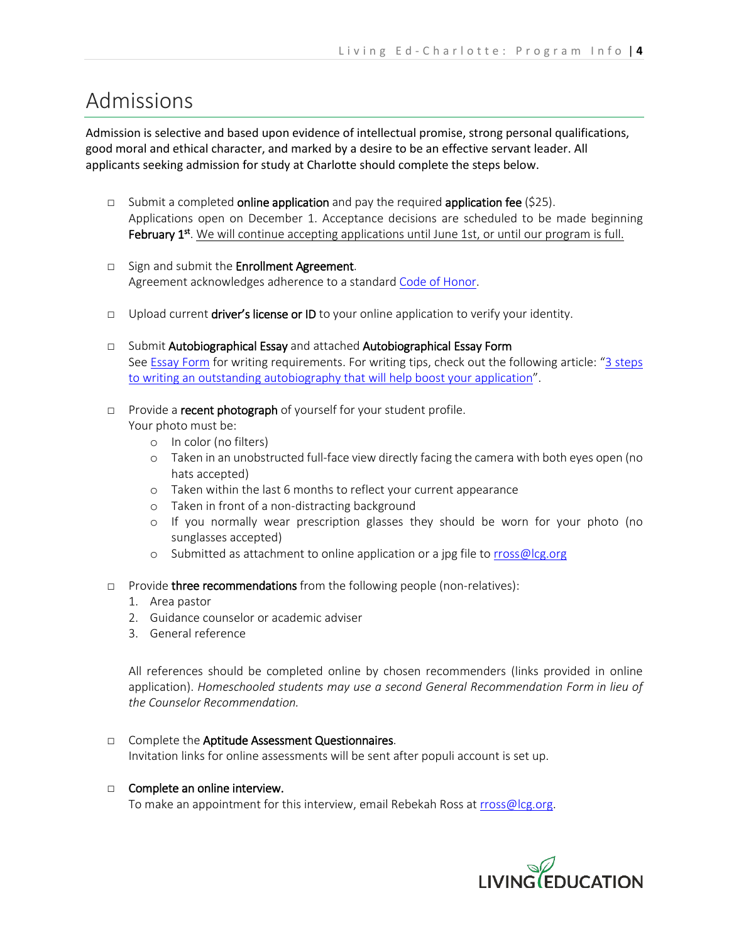### Admissions

Admission is selective and based upon evidence of intellectual promise, strong personal qualifications, good moral and ethical character, and marked by a desire to be an effective servant leader. All applicants seeking admission for study at Charlotte should complete the steps below.

- □ Submit a completed **online application** and pay the required **application fee** (\$25). Applications open on December 1. Acceptance decisions are scheduled to be made beginning February  $1<sup>st</sup>$ . We will continue accepting applications until June 1st, or until our program is full.
- □ Sign and submit the **Enrollment Agreement**. Agreement acknowledges adherence to a standar[d Code of Honor.](https://www.lcgeducation.org/wp-content/uploads/2021/11/Code-of-Honor-2022.pdf)
- □ Upload current **driver's license or ID** to your online application to verify your identity.
- □ Submit Autobiographical Essay and attached Autobiographical Essay Form See [Essay Form](https://www.lcgeducation.org/wp-content/uploads/2021/11/Autobiographical-Essay-Form-2022.pdf) for writing requirements. For writing tips, check out the following article: ["3 steps](https://www.lcgeducation.org/3-steps-to-writing-an-outstanding-autobiography-that-will-help-boost-your-application/)  [to writing an outstanding autobiography that will help boost your application"](https://www.lcgeducation.org/3-steps-to-writing-an-outstanding-autobiography-that-will-help-boost-your-application/).
- □ Provide a recent photograph of yourself for your student profile.

Your photo must be:

- o In color (no filters)
- o Taken in an unobstructed full-face view directly facing the camera with both eyes open (no hats accepted)
- o Taken within the last 6 months to reflect your current appearance
- o Taken in front of a non-distracting background
- o If you normally wear prescription glasses they should be worn for your photo (no sunglasses accepted)
- o Submitted as attachment to online application or a jpg file to [rross@lcg.org](mailto:rross@lcg.org)
- □ Provide three recommendations from the following people (non-relatives):
	- 1. Area pastor
	- 2. Guidance counselor or academic adviser
	- 3. General reference

All references should be completed online by chosen recommenders (links provided in online application). *Homeschooled students may use a second General Recommendation Form in lieu of the Counselor Recommendation.*

□ Complete the Aptitude Assessment Questionnaires. Invitation links for online assessments will be sent after populi account is set up.

#### □ Complete an online interview.

To make an appointment for this interview, email Rebekah Ross at [rross@lcg.org.](mailto:rross@lcg.org)

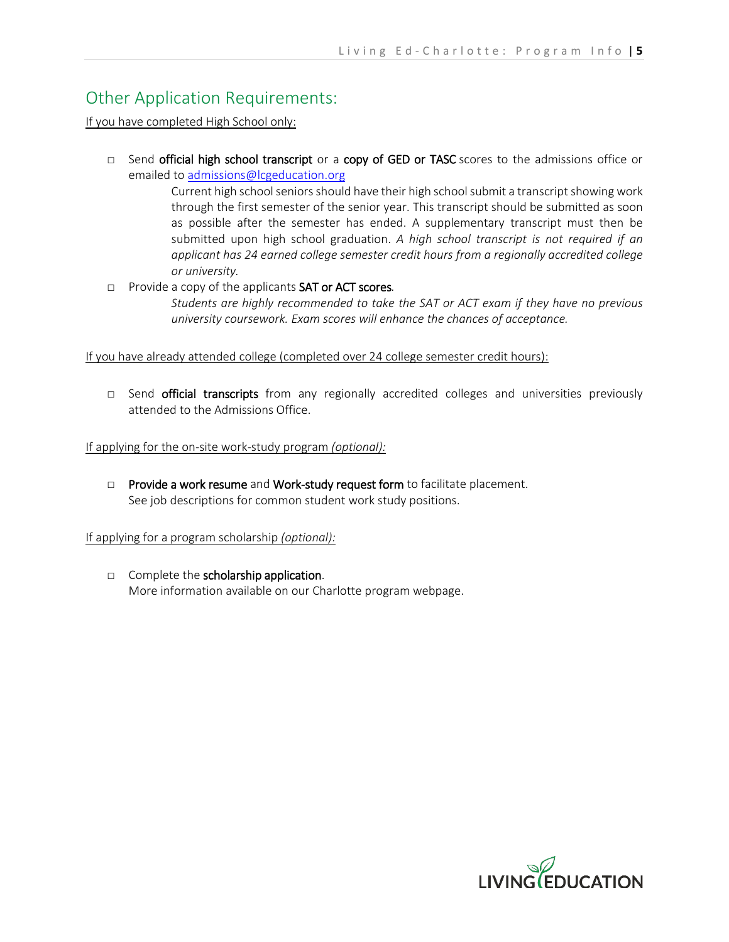### Other Application Requirements:

If you have completed High School only:

□ Send official high school transcript or a copy of GED or TASC scores to the admissions office or emailed t[o admissions@lcgeducation.org](mailto:admissions@lcgeducation.org)

> Current high school seniors should have their high school submit a transcript showing work through the first semester of the senior year. This transcript should be submitted as soon as possible after the semester has ended. A supplementary transcript must then be submitted upon high school graduation. *A high school transcript is not required if an applicant has 24 earned college semester credit hours from a regionally accredited college or university.*

#### □ Provide a copy of the applicants SAT or ACT scores*.*

*Students are highly recommended to take the SAT or ACT exam if they have no previous university coursework. Exam scores will enhance the chances of acceptance.*

If you have already attended college (completed over 24 college semester credit hours):

□ Send official transcripts from any regionally accredited colleges and universities previously attended to the Admissions Office.

If applying for the on-site work-study program *(optional):*

□ Provide a work resume and Work-study request form to facilitate placement. See job descriptions for common student work study positions.

If applying for a program scholarship *(optional):* 

□ Complete the scholarship application. More information available on our Charlotte program webpage.